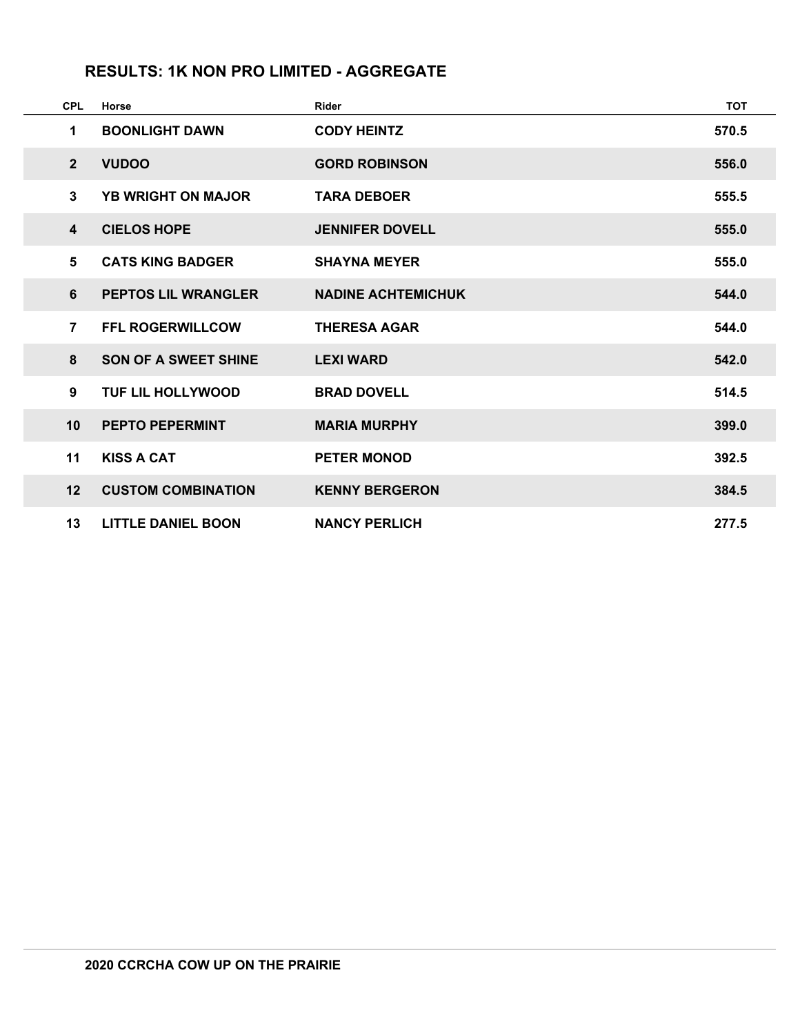# **RESULTS: 1K NON PRO LIMITED - AGGREGATE**

| <b>CPL</b> |                | Horse                       | <b>Rider</b>              | <b>TOT</b> |
|------------|----------------|-----------------------------|---------------------------|------------|
|            | 1              | <b>BOONLIGHT DAWN</b>       | <b>CODY HEINTZ</b>        | 570.5      |
|            | $\overline{2}$ | <b>VUDOO</b>                | <b>GORD ROBINSON</b>      | 556.0      |
|            | 3              | <b>YB WRIGHT ON MAJOR</b>   | <b>TARA DEBOER</b>        | 555.5      |
|            | $\overline{4}$ | <b>CIELOS HOPE</b>          | <b>JENNIFER DOVELL</b>    | 555.0      |
|            | 5              | <b>CATS KING BADGER</b>     | <b>SHAYNA MEYER</b>       | 555.0      |
|            | 6              | <b>PEPTOS LIL WRANGLER</b>  | <b>NADINE ACHTEMICHUK</b> | 544.0      |
|            | $\overline{7}$ | <b>FFL ROGERWILLCOW</b>     | <b>THERESA AGAR</b>       | 544.0      |
|            | 8              | <b>SON OF A SWEET SHINE</b> | <b>LEXI WARD</b>          | 542.0      |
|            | 9              | <b>TUF LIL HOLLYWOOD</b>    | <b>BRAD DOVELL</b>        | 514.5      |
| 10         |                | <b>PEPTO PEPERMINT</b>      | <b>MARIA MURPHY</b>       | 399.0      |
| 11         |                | <b>KISS A CAT</b>           | <b>PETER MONOD</b>        | 392.5      |
|            | 12             | <b>CUSTOM COMBINATION</b>   | <b>KENNY BERGERON</b>     | 384.5      |
|            | 13             | <b>LITTLE DANIEL BOON</b>   | <b>NANCY PERLICH</b>      | 277.5      |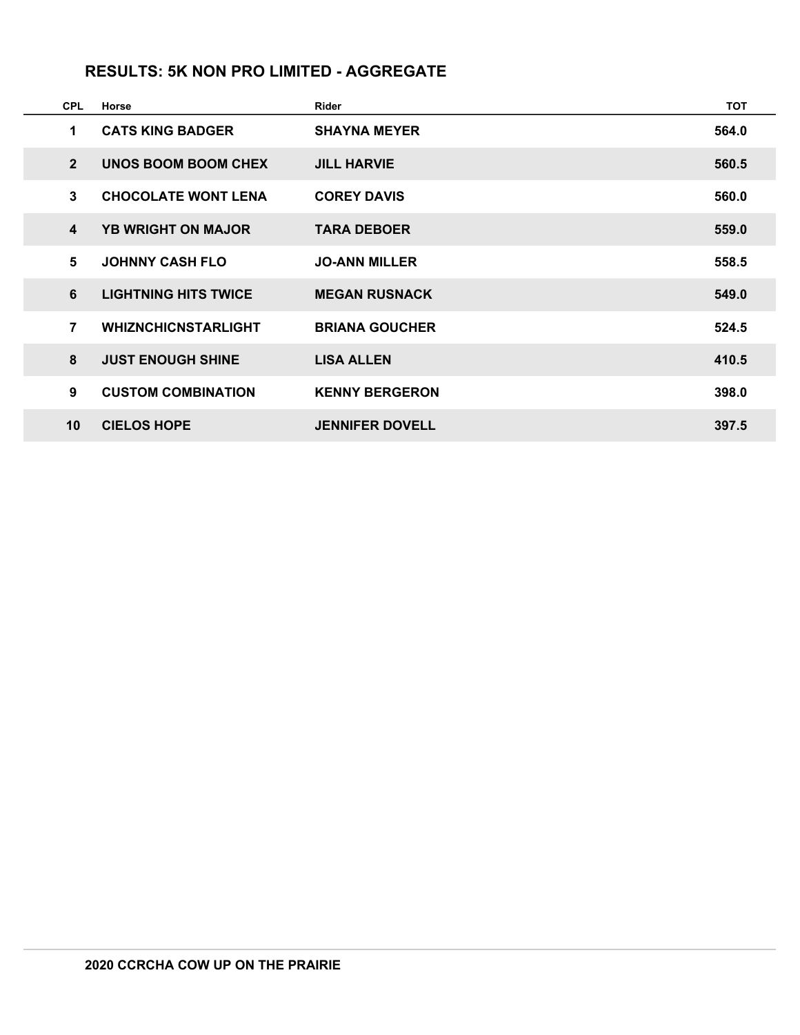#### **RESULTS: 5K NON PRO LIMITED - AGGREGATE**

| <b>CPL</b>              | Horse                       | Rider                  | <b>TOT</b> |
|-------------------------|-----------------------------|------------------------|------------|
| 1                       | <b>CATS KING BADGER</b>     | <b>SHAYNA MEYER</b>    | 564.0      |
| $\overline{2}$          | <b>UNOS BOOM BOOM CHEX</b>  | <b>JILL HARVIE</b>     | 560.5      |
| 3                       | <b>CHOCOLATE WONT LENA</b>  | <b>COREY DAVIS</b>     | 560.0      |
| $\overline{\mathbf{4}}$ | <b>YB WRIGHT ON MAJOR</b>   | <b>TARA DEBOER</b>     | 559.0      |
| 5                       | <b>JOHNNY CASH FLO</b>      | <b>JO-ANN MILLER</b>   | 558.5      |
| 6                       | <b>LIGHTNING HITS TWICE</b> | <b>MEGAN RUSNACK</b>   | 549.0      |
| $\overline{7}$          | <b>WHIZNCHICNSTARLIGHT</b>  | <b>BRIANA GOUCHER</b>  | 524.5      |
| 8                       | <b>JUST ENOUGH SHINE</b>    | <b>LISA ALLEN</b>      | 410.5      |
| 9                       | <b>CUSTOM COMBINATION</b>   | <b>KENNY BERGERON</b>  | 398.0      |
| 10                      | <b>CIELOS HOPE</b>          | <b>JENNIFER DOVELL</b> | 397.5      |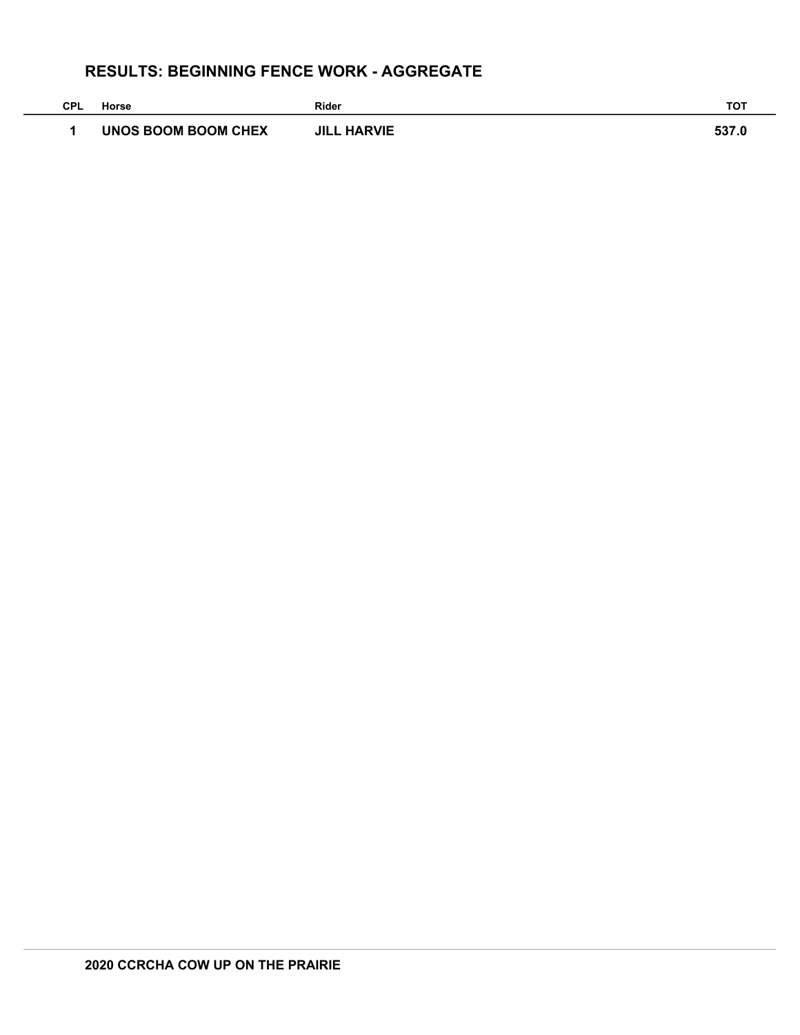# **RESULTS: BEGINNING FENCE WORK - AGGREGATE**

| CPL | Horse               | Rider              | <b>TOT</b> |
|-----|---------------------|--------------------|------------|
|     | UNOS BOOM BOOM CHEX | <b>JILL HARVIE</b> | 537.0      |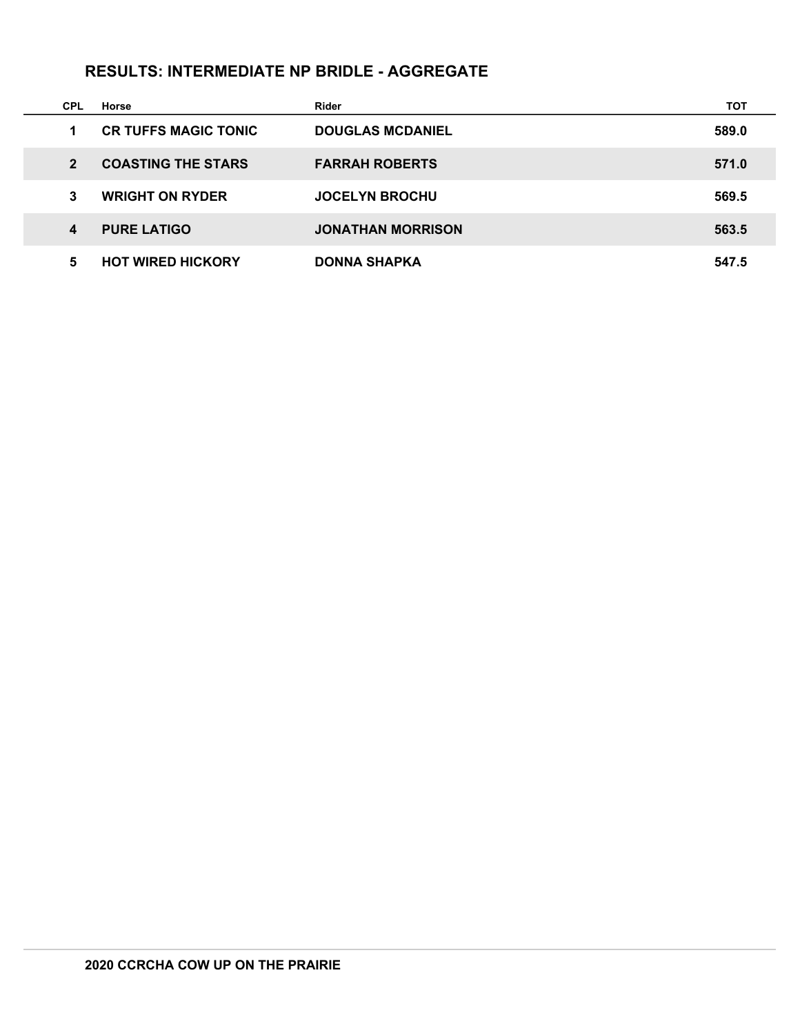# **RESULTS: INTERMEDIATE NP BRIDLE - AGGREGATE**

| <b>CPL</b>              | Horse                       | Rider                    | тот   |
|-------------------------|-----------------------------|--------------------------|-------|
| 1                       | <b>CR TUFFS MAGIC TONIC</b> | <b>DOUGLAS MCDANIEL</b>  | 589.0 |
| $\overline{\mathbf{z}}$ | <b>COASTING THE STARS</b>   | <b>FARRAH ROBERTS</b>    | 571.0 |
| 3                       | <b>WRIGHT ON RYDER</b>      | <b>JOCELYN BROCHU</b>    | 569.5 |
| 4                       | <b>PURE LATIGO</b>          | <b>JONATHAN MORRISON</b> | 563.5 |
| 5                       | <b>HOT WIRED HICKORY</b>    | <b>DONNA SHAPKA</b>      | 547.5 |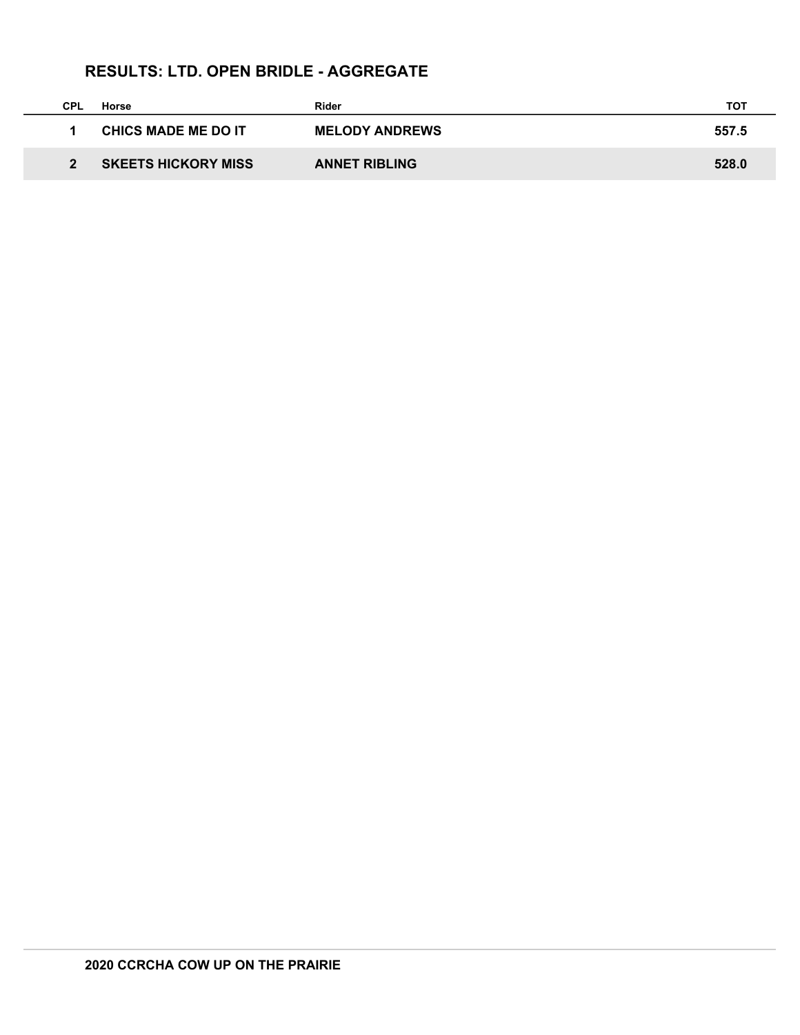# **RESULTS: LTD. OPEN BRIDLE - AGGREGATE**

| <b>CPL</b> | Horse                      | Rider                 | тот   |
|------------|----------------------------|-----------------------|-------|
|            | <b>CHICS MADE ME DO IT</b> | <b>MELODY ANDREWS</b> | 557.5 |
|            | <b>SKEETS HICKORY MISS</b> | <b>ANNET RIBLING</b>  | 528.0 |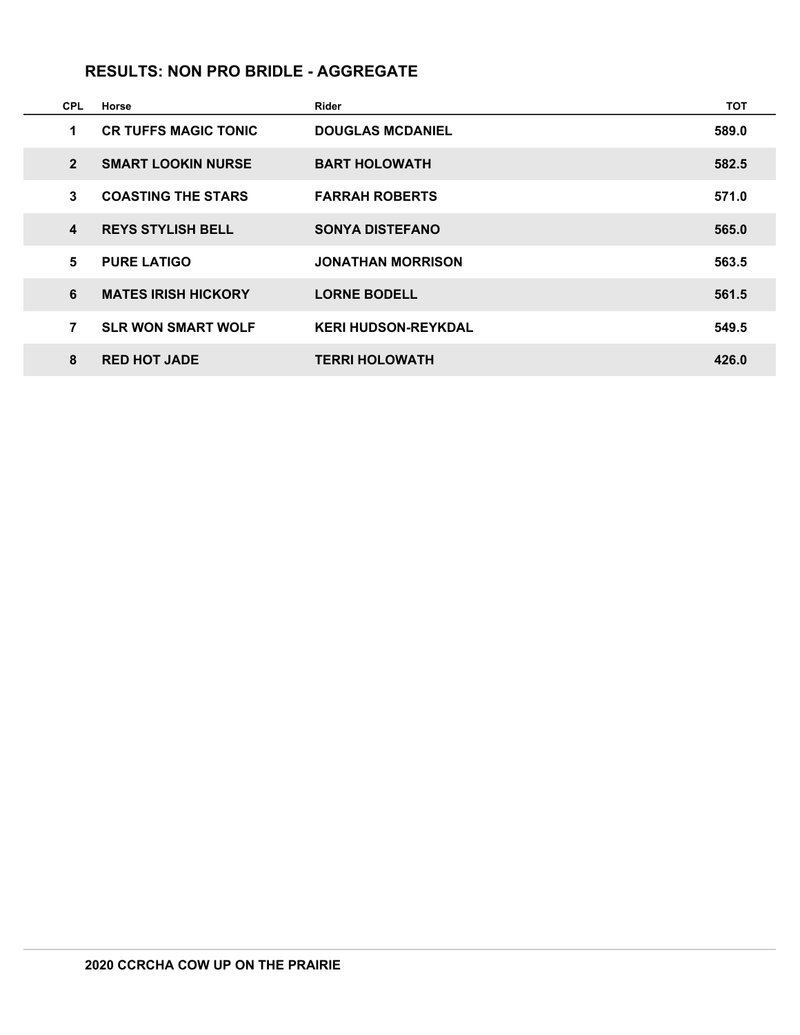#### **RESULTS: NON PRO BRIDLE - AGGREGATE**

| <b>CPL</b>     | Horse                       | Rider                      | <b>TOT</b> |
|----------------|-----------------------------|----------------------------|------------|
| 1              | <b>CR TUFFS MAGIC TONIC</b> | <b>DOUGLAS MCDANIEL</b>    | 589.0      |
| $\overline{2}$ | <b>SMART LOOKIN NURSE</b>   | <b>BART HOLOWATH</b>       | 582.5      |
| 3              | <b>COASTING THE STARS</b>   | <b>FARRAH ROBERTS</b>      | 571.0      |
| 4              | <b>REYS STYLISH BELL</b>    | <b>SONYA DISTEFANO</b>     | 565.0      |
| 5              | <b>PURE LATIGO</b>          | <b>JONATHAN MORRISON</b>   | 563.5      |
| 6              | <b>MATES IRISH HICKORY</b>  | <b>LORNE BODELL</b>        | 561.5      |
| 7              | <b>SLR WON SMART WOLF</b>   | <b>KERI HUDSON-REYKDAL</b> | 549.5      |
| 8              | <b>RED HOT JADE</b>         | <b>TERRI HOLOWATH</b>      | 426.0      |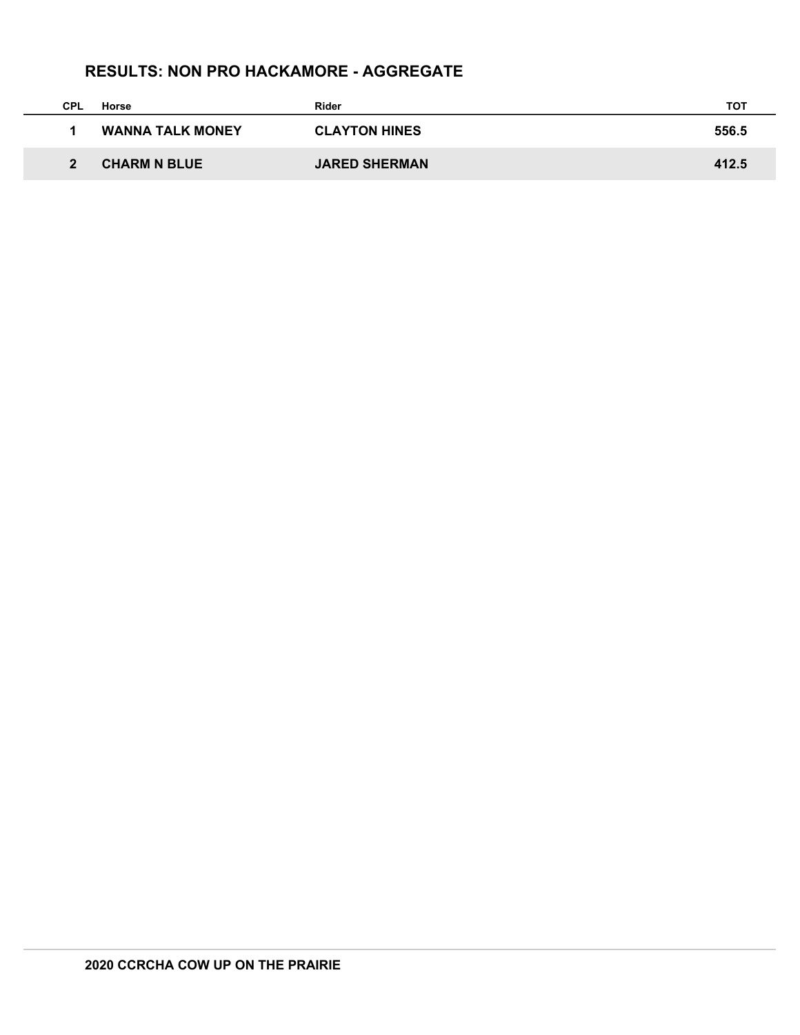## **RESULTS: NON PRO HACKAMORE - AGGREGATE**

| CPL | Horse                   | Rider                | тот   |
|-----|-------------------------|----------------------|-------|
|     | <b>WANNA TALK MONEY</b> | <b>CLAYTON HINES</b> | 556.5 |
|     | <b>CHARM N BLUE</b>     | <b>JARED SHERMAN</b> | 412.5 |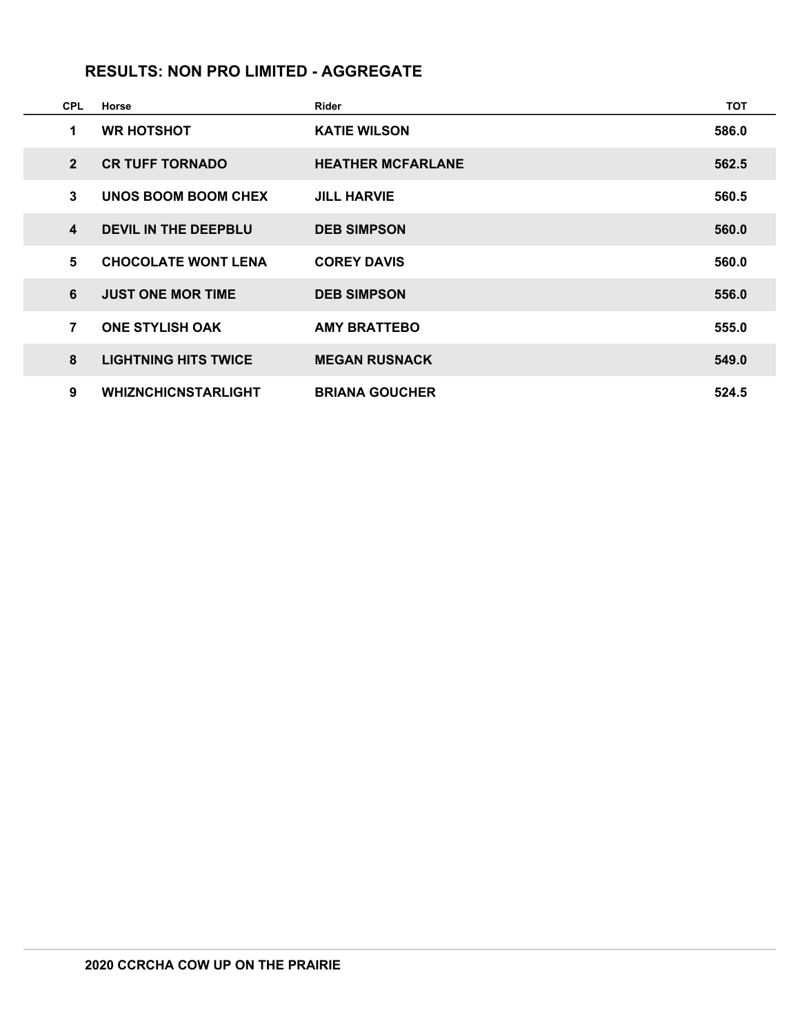## **RESULTS: NON PRO LIMITED - AGGREGATE**

| <b>CPL</b>       | Horse                       | <b>Rider</b>             | <b>TOT</b> |
|------------------|-----------------------------|--------------------------|------------|
| 1                | <b>WR HOTSHOT</b>           | <b>KATIE WILSON</b>      | 586.0      |
| $\overline{2}$   | <b>CR TUFF TORNADO</b>      | <b>HEATHER MCFARLANE</b> | 562.5      |
| 3                | UNOS BOOM BOOM CHEX         | <b>JILL HARVIE</b>       | 560.5      |
| $\boldsymbol{4}$ | <b>DEVIL IN THE DEEPBLU</b> | <b>DEB SIMPSON</b>       | 560.0      |
| 5                | <b>CHOCOLATE WONT LENA</b>  | <b>COREY DAVIS</b>       | 560.0      |
| 6                | <b>JUST ONE MOR TIME</b>    | <b>DEB SIMPSON</b>       | 556.0      |
| $\overline{7}$   | <b>ONE STYLISH OAK</b>      | <b>AMY BRATTEBO</b>      | 555.0      |
| 8                | <b>LIGHTNING HITS TWICE</b> | <b>MEGAN RUSNACK</b>     | 549.0      |
| 9                | <b>WHIZNCHICNSTARLIGHT</b>  | <b>BRIANA GOUCHER</b>    | 524.5      |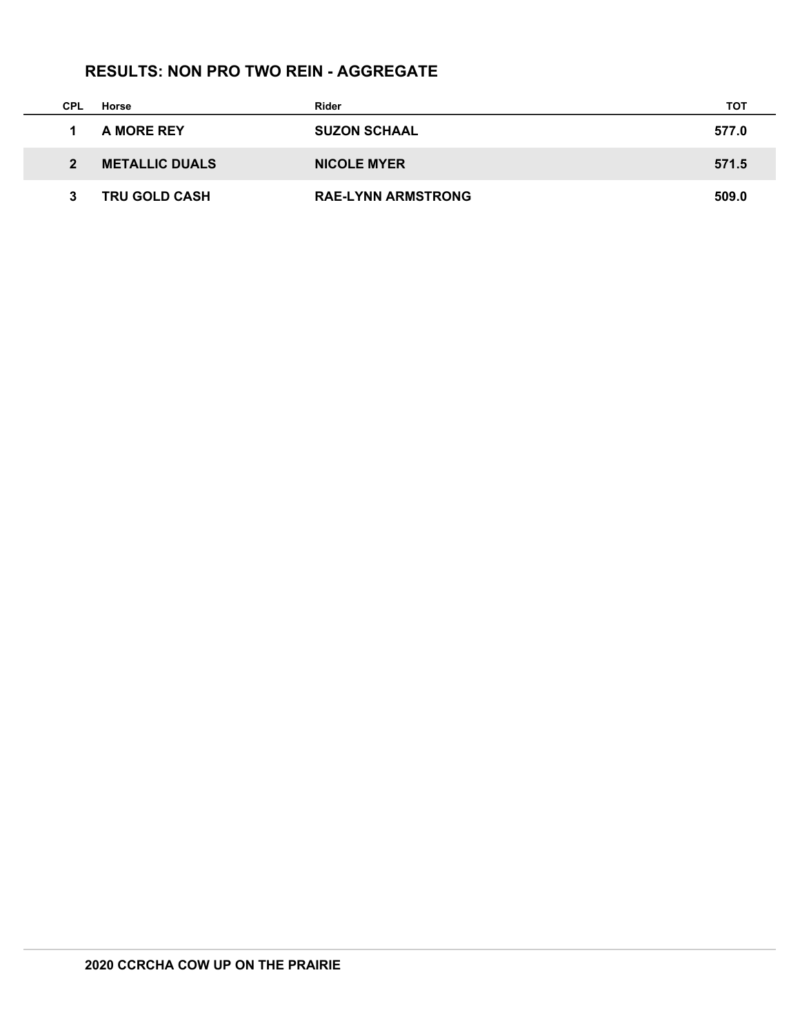# **RESULTS: NON PRO TWO REIN - AGGREGATE**

| <b>CPL</b> | Horse                 | Rider                     | тот   |
|------------|-----------------------|---------------------------|-------|
|            | A MORE REY            | <b>SUZON SCHAAL</b>       | 577.0 |
| 2          | <b>METALLIC DUALS</b> | <b>NICOLE MYER</b>        | 571.5 |
|            | <b>TRU GOLD CASH</b>  | <b>RAE-LYNN ARMSTRONG</b> | 509.0 |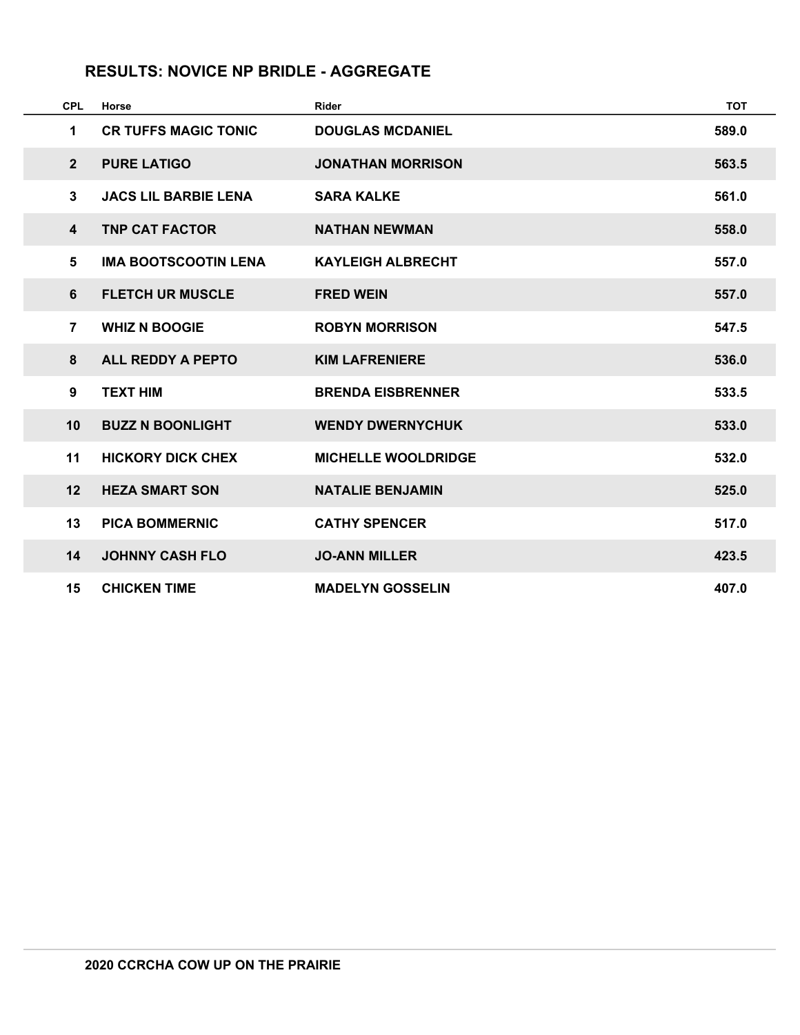# **RESULTS: NOVICE NP BRIDLE - AGGREGATE**

| <b>CPL</b>              | Horse                       | <b>Rider</b>               | <b>TOT</b> |
|-------------------------|-----------------------------|----------------------------|------------|
| 1                       | <b>CR TUFFS MAGIC TONIC</b> | <b>DOUGLAS MCDANIEL</b>    | 589.0      |
| $2 \overline{ }$        | <b>PURE LATIGO</b>          | <b>JONATHAN MORRISON</b>   | 563.5      |
| 3                       | <b>JACS LIL BARBIE LENA</b> | <b>SARA KALKE</b>          | 561.0      |
| $\overline{\mathbf{4}}$ | <b>TNP CAT FACTOR</b>       | <b>NATHAN NEWMAN</b>       | 558.0      |
| 5                       | <b>IMA BOOTSCOOTIN LENA</b> | <b>KAYLEIGH ALBRECHT</b>   | 557.0      |
| 6                       | <b>FLETCH UR MUSCLE</b>     | <b>FRED WEIN</b>           | 557.0      |
| $\overline{7}$          | <b>WHIZ N BOOGIE</b>        | <b>ROBYN MORRISON</b>      | 547.5      |
| 8                       | <b>ALL REDDY A PEPTO</b>    | <b>KIM LAFRENIERE</b>      | 536.0      |
| 9                       | <b>TEXT HIM</b>             | <b>BRENDA EISBRENNER</b>   | 533.5      |
| 10                      | <b>BUZZ N BOONLIGHT</b>     | <b>WENDY DWERNYCHUK</b>    | 533.0      |
| 11                      | <b>HICKORY DICK CHEX</b>    | <b>MICHELLE WOOLDRIDGE</b> | 532.0      |
| 12                      | <b>HEZA SMART SON</b>       | <b>NATALIE BENJAMIN</b>    | 525.0      |
| 13                      | <b>PICA BOMMERNIC</b>       | <b>CATHY SPENCER</b>       | 517.0      |
| 14                      | <b>JOHNNY CASH FLO</b>      | <b>JO-ANN MILLER</b>       | 423.5      |
| 15                      | <b>CHICKEN TIME</b>         | <b>MADELYN GOSSELIN</b>    | 407.0      |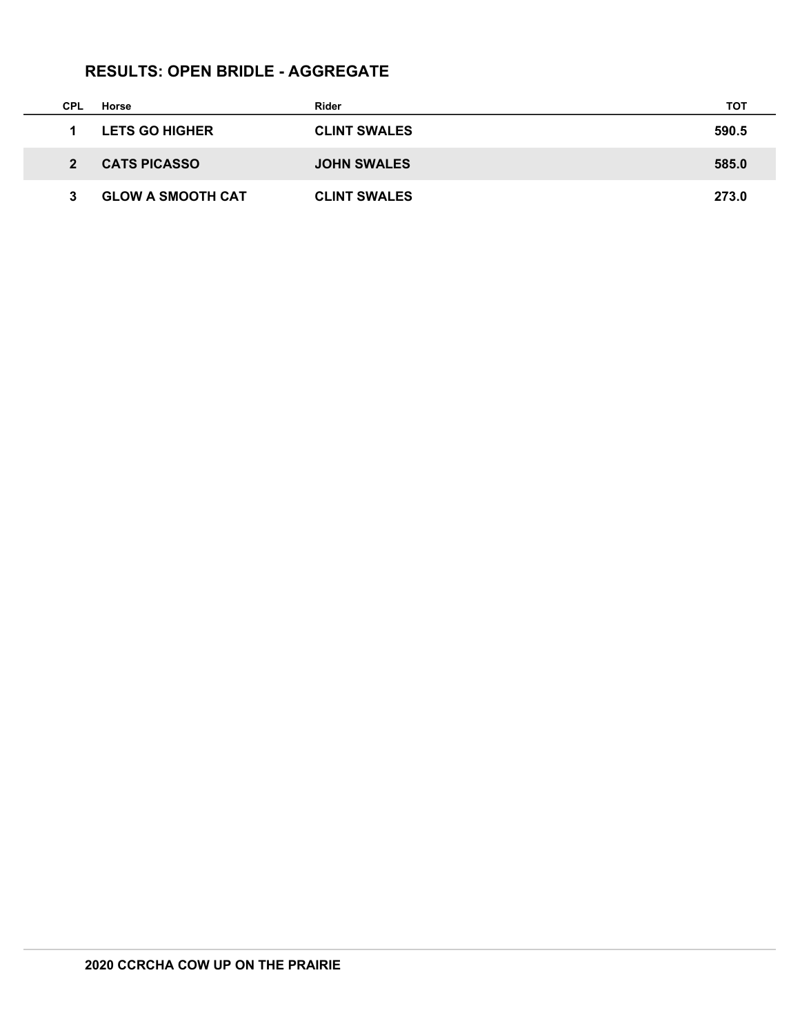# **RESULTS: OPEN BRIDLE - AGGREGATE**

| CPL           | Horse                    | Rider               | тот   |
|---------------|--------------------------|---------------------|-------|
|               | <b>LETS GO HIGHER</b>    | <b>CLINT SWALES</b> | 590.5 |
| $\mathcal{P}$ | <b>CATS PICASSO</b>      | <b>JOHN SWALES</b>  | 585.0 |
|               | <b>GLOW A SMOOTH CAT</b> | <b>CLINT SWALES</b> | 273.0 |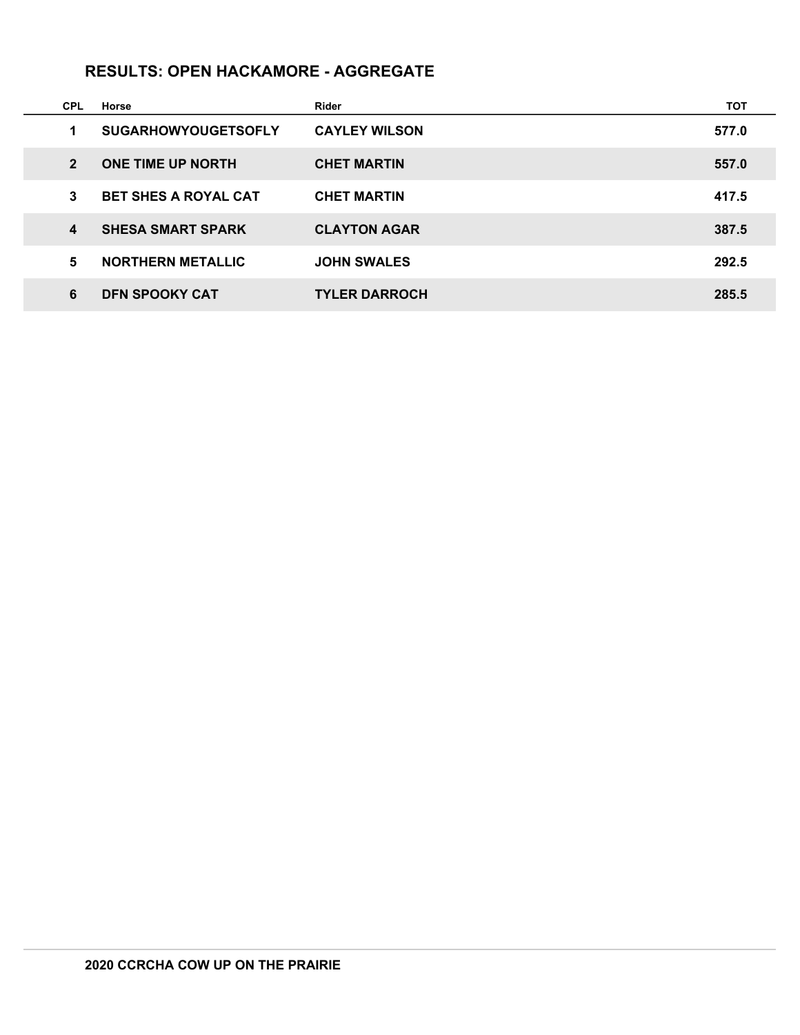## **RESULTS: OPEN HACKAMORE - AGGREGATE**

| <b>CPL</b>     | Horse                       | Rider                | тот   |
|----------------|-----------------------------|----------------------|-------|
| 1              | <b>SUGARHOWYOUGETSOFLY</b>  | <b>CAYLEY WILSON</b> | 577.0 |
| $\overline{2}$ | <b>ONE TIME UP NORTH</b>    | <b>CHET MARTIN</b>   | 557.0 |
| 3              | <b>BET SHES A ROYAL CAT</b> | <b>CHET MARTIN</b>   | 417.5 |
| 4              | <b>SHESA SMART SPARK</b>    | <b>CLAYTON AGAR</b>  | 387.5 |
| 5              | <b>NORTHERN METALLIC</b>    | <b>JOHN SWALES</b>   | 292.5 |
| 6              | <b>DFN SPOOKY CAT</b>       | <b>TYLER DARROCH</b> | 285.5 |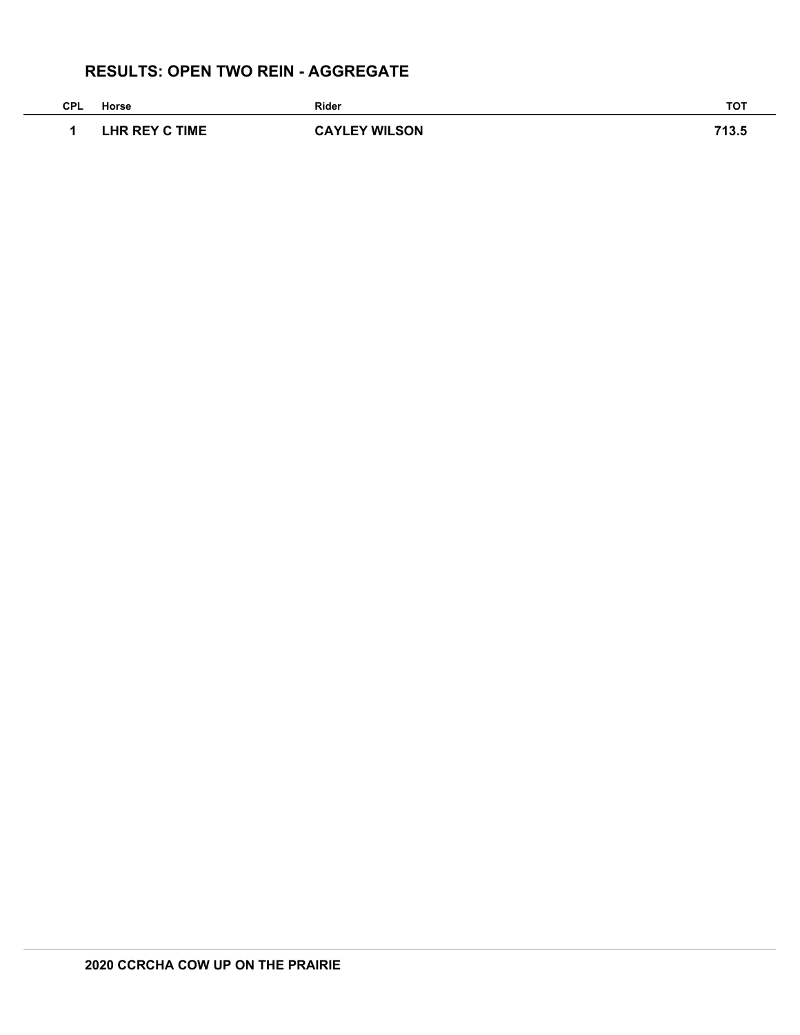# **RESULTS: OPEN TWO REIN - AGGREGATE**

| <b>CPL</b> | Horse          | Rider                | <b>TOT</b> |
|------------|----------------|----------------------|------------|
|            | LHR REY C TIME | <b>CAYLEY WILSON</b> | 713.5      |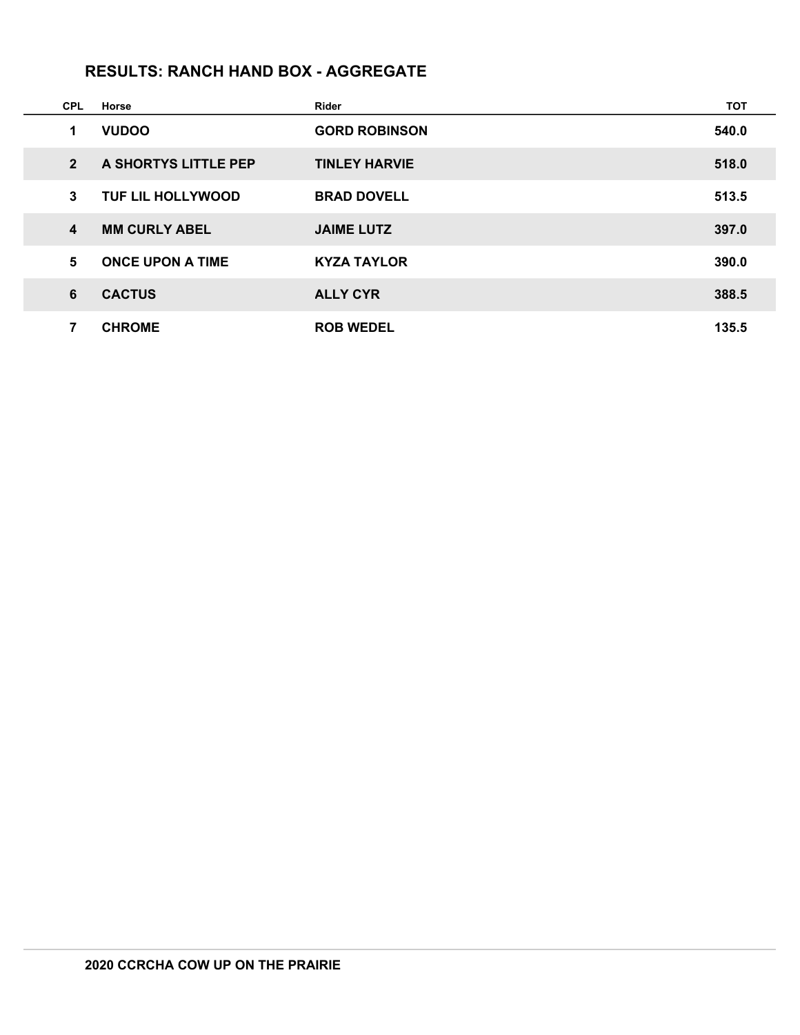# **RESULTS: RANCH HAND BOX - AGGREGATE**

| <b>CPL</b>       | Horse                    | Rider                | <b>TOT</b> |
|------------------|--------------------------|----------------------|------------|
| 1                | <b>VUDOO</b>             | <b>GORD ROBINSON</b> | 540.0      |
| $\overline{2}$   | A SHORTYS LITTLE PEP     | <b>TINLEY HARVIE</b> | 518.0      |
| 3                | <b>TUF LIL HOLLYWOOD</b> | <b>BRAD DOVELL</b>   | 513.5      |
| $\boldsymbol{4}$ | <b>MM CURLY ABEL</b>     | <b>JAIME LUTZ</b>    | 397.0      |
| $5\phantom{1}$   | <b>ONCE UPON A TIME</b>  | <b>KYZA TAYLOR</b>   | 390.0      |
| 6                | <b>CACTUS</b>            | <b>ALLY CYR</b>      | 388.5      |
| 7                | <b>CHROME</b>            | <b>ROB WEDEL</b>     | 135.5      |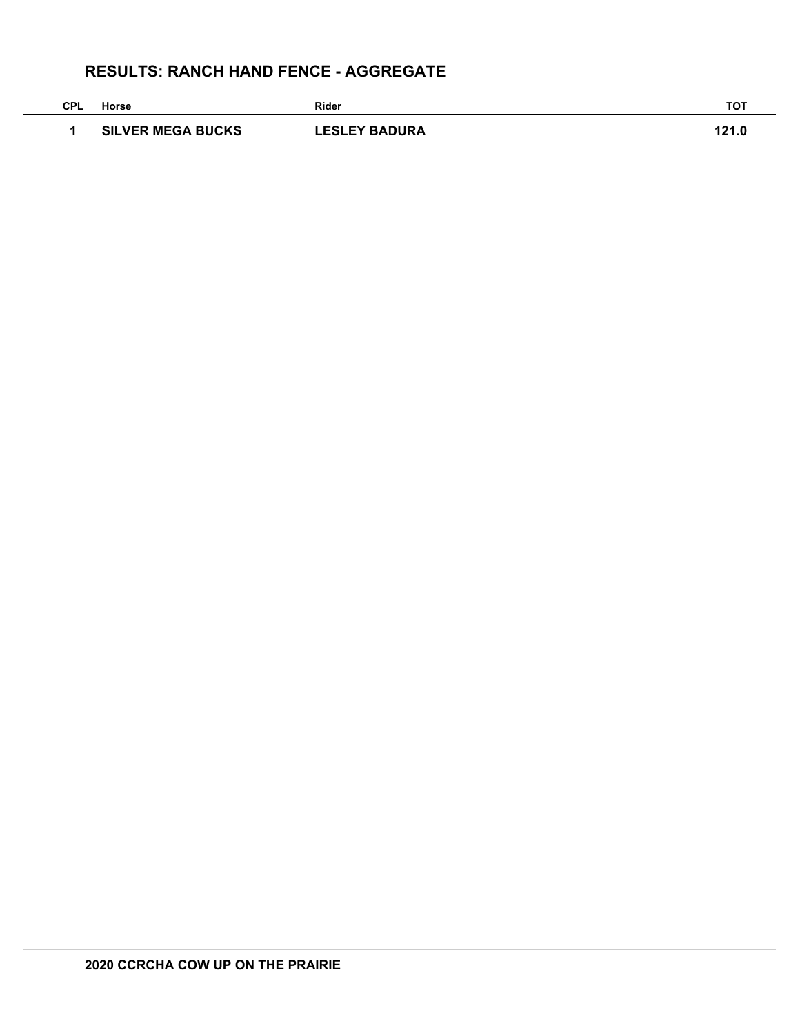# **RESULTS: RANCH HAND FENCE - AGGREGATE**

| <b>CPL</b> | Horse                    | <b>Rider</b>         | <b>TOT</b> |
|------------|--------------------------|----------------------|------------|
|            | <b>SILVER MEGA BUCKS</b> | <b>LESLEY BADURA</b> | 121.0      |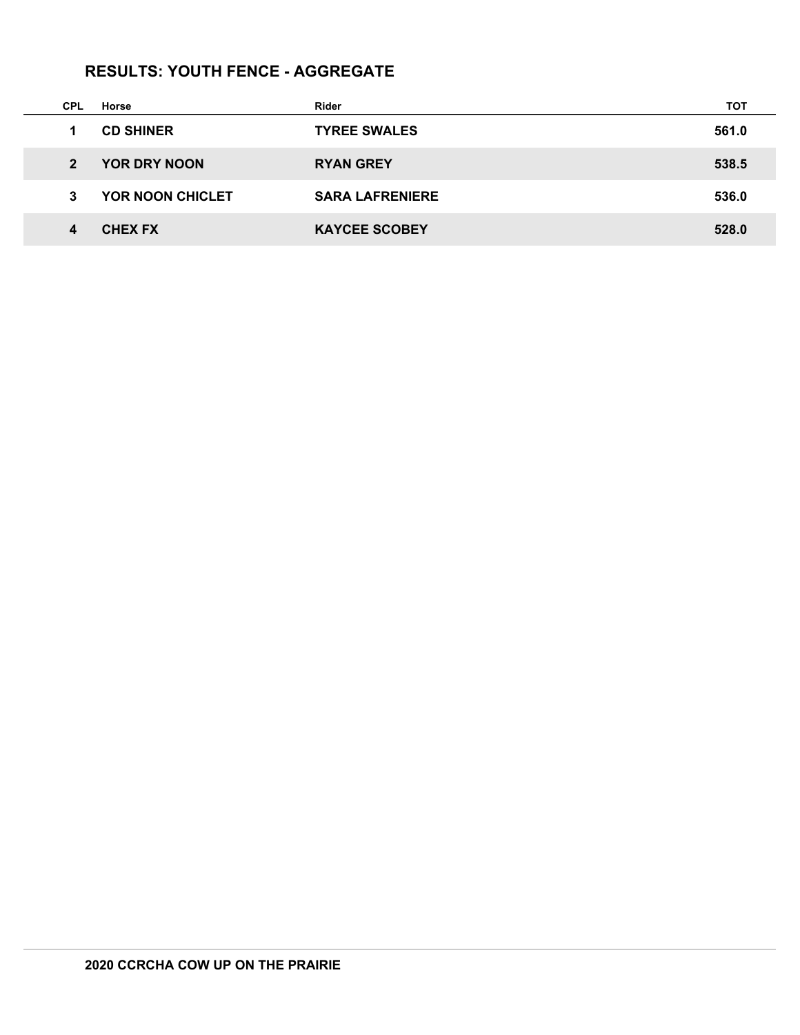# **RESULTS: YOUTH FENCE - AGGREGATE**

| <b>CPL</b>     | Horse                   | Rider                  | тот   |
|----------------|-------------------------|------------------------|-------|
| $\mathbf 1$    | <b>CD SHINER</b>        | <b>TYREE SWALES</b>    | 561.0 |
| $\overline{2}$ | YOR DRY NOON            | <b>RYAN GREY</b>       | 538.5 |
| 3              | <b>YOR NOON CHICLET</b> | <b>SARA LAFRENIERE</b> | 536.0 |
| 4              | <b>CHEX FX</b>          | <b>KAYCEE SCOBEY</b>   | 528.0 |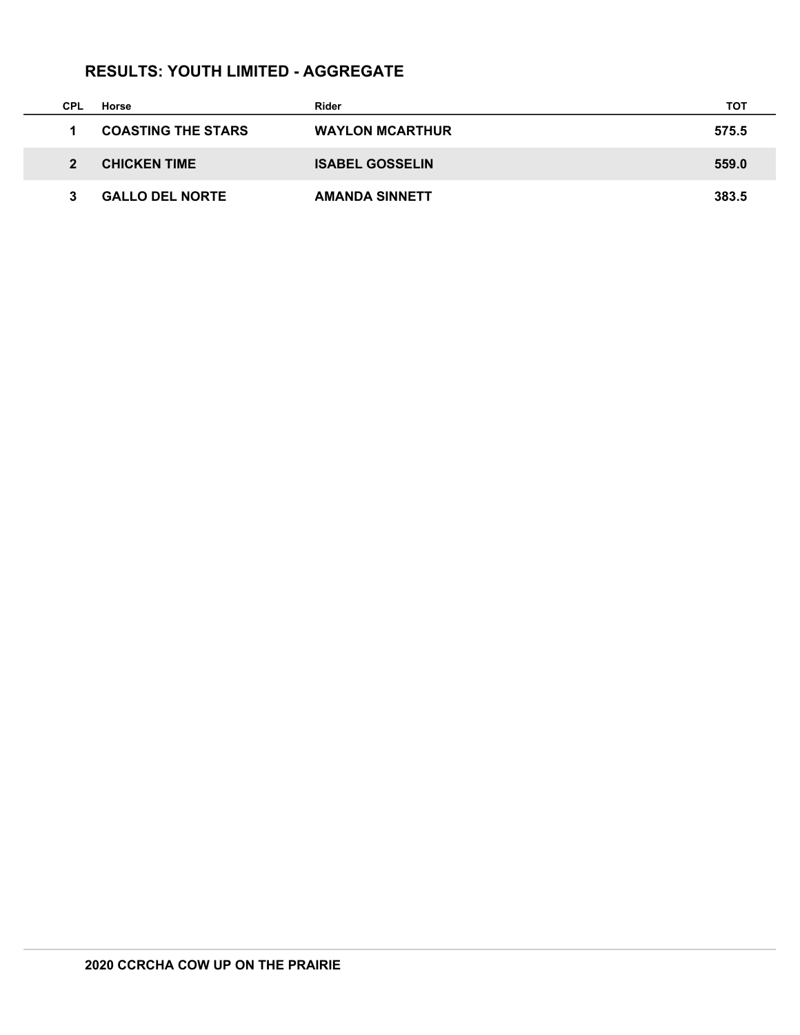# **RESULTS: YOUTH LIMITED - AGGREGATE**

 $\mathcal{L}$ 

| CPL                        | Horse                     | Rider                  | тот   |
|----------------------------|---------------------------|------------------------|-------|
|                            | <b>COASTING THE STARS</b> | <b>WAYLON MCARTHUR</b> | 575.5 |
| $\boldsymbol{\mathcal{P}}$ | <b>CHICKEN TIME</b>       | <b>ISABEL GOSSELIN</b> | 559.0 |
|                            | <b>GALLO DEL NORTE</b>    | <b>AMANDA SINNETT</b>  | 383.5 |